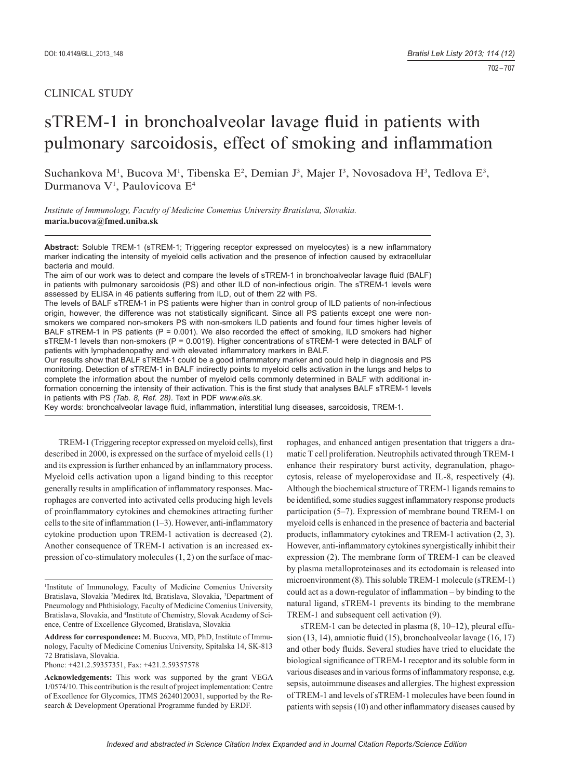# CLINICAL STUDY

# sTREM-1 in bronchoalveolar lavage fluid in patients with pulmonary sarcoidosis, effect of smoking and inflammation

Suchankova M<sup>1</sup>, Bucova M<sup>1</sup>, Tibenska E<sup>2</sup>, Demian J<sup>3</sup>, Majer I<sup>3</sup>, Novosadova H<sup>3</sup>, Tedlova E<sup>3</sup>, Durmanova V<sup>1</sup>, Paulovicova E<sup>4</sup>

*Institute of Immunology, Faculty of Medicine Comenius University Bratislava, Slovakia.*  **maria.bucova@fmed.uniba.sk**

Abstract: Soluble TREM-1 (sTREM-1; Triggering receptor expressed on myelocytes) is a new inflammatory marker indicating the intensity of myeloid cells activation and the presence of infection caused by extracellular bacteria and mould.

The aim of our work was to detect and compare the levels of sTREM-1 in bronchoalveolar lavage fluid (BALF) in patients with pulmonary sarcoidosis (PS) and other ILD of non-infectious origin. The sTREM-1 levels were assessed by ELISA in 46 patients suffering from ILD, out of them 22 with PS.

The levels of BALF sTREM-1 in PS patients were higher than in control group of ILD patients of non-infectious origin, however, the difference was not statistically significant. Since all PS patients except one were nonsmokers we compared non-smokers PS with non-smokers ILD patients and found four times higher levels of BALF sTREM-1 in PS patients ( $P = 0.001$ ). We also recorded the effect of smoking, ILD smokers had higher sTREM-1 levels than non-smokers ( $P = 0.0019$ ). Higher concentrations of sTREM-1 were detected in BALF of patients with lymphadenopathy and with elevated inflammatory markers in BALF.

Our results show that BALF sTREM-1 could be a good inflammatory marker and could help in diagnosis and PS monitoring. Detection of sTREM-1 in BALF indirectly points to myeloid cells activation in the lungs and helps to complete the information about the number of myeloid cells commonly determined in BALF with additional information concerning the intensity of their activation. This is the first study that analyses BALF sTREM-1 levels in patients with PS *(Tab. 8, Ref. 28)*. Text in PDF *www.elis.sk.*

Key words: bronchoalveolar lavage fluid, inflammation, interstitial lung diseases, sarcoidosis, TREM-1.

TREM-1 (Triggering receptor expressed on myeloid cells), first described in 2000, is expressed on the surface of myeloid cells (1) and its expression is further enhanced by an inflammatory process. Myeloid cells activation upon a ligand binding to this receptor generally results in amplification of inflammatory responses. Macrophages are converted into activated cells producing high levels of proinflammatory cytokines and chemokines attracting further cells to the site of inflammation  $(1-3)$ . However, anti-inflammatory cytokine production upon TREM-1 activation is decreased (2). Another consequence of TREM-1 activation is an increased expression of co-stimulatory molecules (1, 2) on the surface of mac-

Phone: +421.2.59357351, Fax: +421.2.59357578

rophages, and enhanced antigen presentation that triggers a dramatic T cell proliferation. Neutrophils activated through TREM-1 enhance their respiratory burst activity, degranulation, phagocytosis, release of myeloperoxidase and IL-8, respectively (4). Although the biochemical structure of TREM-1 ligands remains to be identified, some studies suggest inflammatory response products participation (5–7). Expression of membrane bound TREM-1 on myeloid cells is enhanced in the presence of bacteria and bacterial products, inflammatory cytokines and TREM-1 activation (2, 3). However, anti-inflammatory cytokines synergistically inhibit their expression (2). The membrane form of TREM-1 can be cleaved by plasma metalloproteinases and its ectodomain is released into microenvironment (8). This soluble TREM-1 molecule (sTREM-1) could act as a down-regulator of inflammation  $-$  by binding to the natural ligand, sTREM-1 prevents its binding to the membrane TREM-1 and subsequent cell activation (9).

sTREM-1 can be detected in plasma (8, 10–12), pleural effusion  $(13, 14)$ , amniotic fluid  $(15)$ , bronchoalveolar lavage  $(16, 17)$ and other body fluids. Several studies have tried to elucidate the biological significance of TREM-1 receptor and its soluble form in various diseases and in various forms of inflammatory response, e.g. sepsis, autoimmune diseases and allergies. The highest expression of TREM-1 and levels of sTREM-1 molecules have been found in patients with sepsis (10) and other inflammatory diseases caused by

<sup>1</sup> Institute of Immunology, Faculty of Medicine Comenius University Bratislava, Slovakia 2 Medirex ltd, Bratislava, Slovakia, 3 Department of Pneumology and Phthisiology, Faculty of Medicine Comenius University, Bratislava, Slovakia, and 4 Institute of Chemistry, Slovak Academy of Science, Centre of Excellence Glycomed, Bratislava, Slovakia

**Address for correspondence:** M. Bucova, MD, PhD, Institute of Immunology, Faculty of Medicine Comenius University, Spitalska 14, SK-813 72 Bratislava, Slovakia.

**Acknowledgements:** This work was supported by the grant VEGA 1/0574/10. This contribution is the result of project implementation: Centre of Excellence for Glycomics, ITMS 26240120031, supported by the Research & Development Operational Programme funded by ERDF.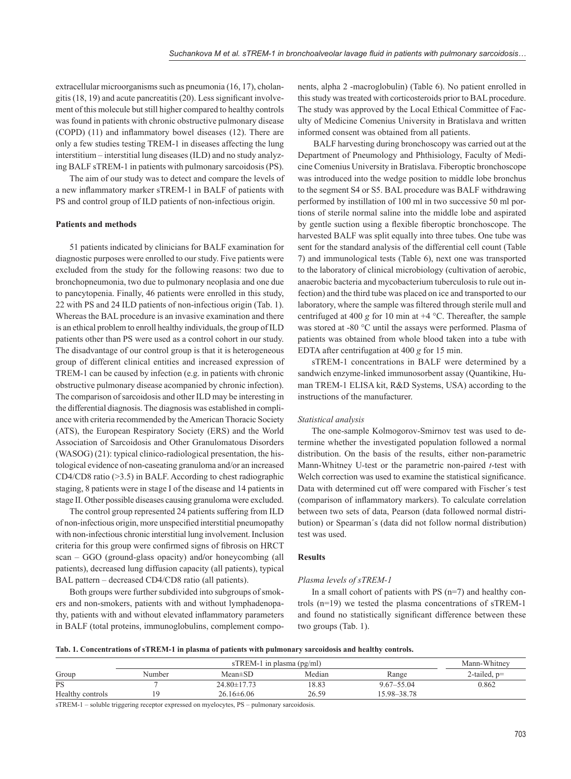extracellular microorganisms such as pneumonia (16, 17), cholangitis  $(18, 19)$  and acute pancreatitis  $(20)$ . Less significant involvement of this molecule but still higher compared to healthy controls was found in patients with chronic obstructive pulmonary disease  $(COPD)$  (11) and inflammatory bowel diseases (12). There are only a few studies testing TREM-1 in diseases affecting the lung interstitium – interstitial lung diseases (ILD) and no study analyzing BALF sTREM-1 in patients with pulmonary sarcoidosis (PS).

The aim of our study was to detect and compare the levels of a new inflammatory marker sTREM-1 in BALF of patients with PS and control group of ILD patients of non-infectious origin.

#### **Patients and methods**

51 patients indicated by clinicians for BALF examination for diagnostic purposes were enrolled to our study. Five patients were excluded from the study for the following reasons: two due to bronchopneumonia, two due to pulmonary neoplasia and one due to pancytopenia. Finally, 46 patients were enrolled in this study, 22 with PS and 24 ILD patients of non-infectious origin (Tab. 1). Whereas the BAL procedure is an invasive examination and there is an ethical problem to enroll healthy individuals, the group of ILD patients other than PS were used as a control cohort in our study. The disadvantage of our control group is that it is heterogeneous group of different clinical entities and increased expression of TREM-1 can be caused by infection (e.g. in patients with chronic obstructive pulmonary disease acompanied by chronic infection). The comparison of sarcoidosis and other ILD may be interesting in the differential diagnosis. The diagnosis was established in compliance with criteria recommended by the American Thoracic Society (ATS), the European Respiratory Society (ERS) and the World Association of Sarcoidosis and Other Granulomatous Disorders (WASOG) (21): typical clinico-radiological presentation, the histological evidence of non-caseating granuloma and/or an increased CD4/CD8 ratio (>3.5) in BALF. According to chest radiographic staging, 8 patients were in stage I of the disease and 14 patients in stage II. Other possible diseases causing granuloma were excluded.

The control group represented 24 patients suffering from ILD of non-infectious origin, more unspecified interstitial pneumopathy with non-infectious chronic interstitial lung involvement. Inclusion criteria for this group were confirmed signs of fibrosis on HRCT scan – GGO (ground-glass opacity) and**/**or honeycombing (all patients), decreased lung diffusion capacity (all patients), typical BAL pattern – decreased CD4/CD8 ratio (all patients).

Both groups were further subdivided into subgroups of smokers and non-smokers, patients with and without lymphadenopathy, patients with and without elevated inflammatory parameters in BALF (total proteins, immunoglobulins, complement components, alpha 2 -macroglobulin) (Table 6). No patient enrolled in this study was treated with corticosteroids prior to BAL procedure. The study was approved by the Local Ethical Committee of Faculty of Medicine Comenius University in Bratislava and written informed consent was obtained from all patients.

 BALF harvesting during bronchoscopy was carried out at the Department of Pneumology and Phthisiology, Faculty of Medicine Comenius University in Bratislava. Fiberoptic bronchoscope was introduced into the wedge position to middle lobe bronchus to the segment S4 or S5. BAL procedure was BALF withdrawing performed by instillation of 100 ml in two successive 50 ml portions of sterile normal saline into the middle lobe and aspirated by gentle suction using a flexible fiberoptic bronchoscope. The harvested BALF was split equally into three tubes. One tube was sent for the standard analysis of the differential cell count (Table 7) and immunological tests (Table 6), next one was transported to the laboratory of clinical microbiology (cultivation of aerobic, anaerobic bacteria and mycobacterium tuberculosis to rule out infection) and the third tube was placed on ice and transported to our laboratory, where the sample was filtered through sterile mull and centrifuged at 400 *g* for 10 min at +4 °C. Thereafter, the sample was stored at -80 °C until the assays were performed. Plasma of patients was obtained from whole blood taken into a tube with EDTA after centrifugation at 400 *g* for 15 min.

sTREM-1 concentrations in BALF were determined by a sandwich enzyme-linked immunosorbent assay (Quantikine, Human TREM-1 ELISA kit, R&D Systems, USA) according to the instructions of the manufacturer.

#### *Statistical analysis*

The one-sample Kolmogorov-Smirnov test was used to determine whether the investigated population followed a normal distribution. On the basis of the results, either non-parametric Mann-Whitney U*-*test or the parametric non-paired *t*-test with Welch correction was used to examine the statistical significance. Data with determined cut off were compared with Fischer´s test (comparison of inflammatory markers). To calculate correlation between two sets of data, Pearson (data followed normal distribution) or Spearman´s (data did not follow normal distribution) test was used.

#### **Results**

#### *Plasma levels of sTREM-1*

In a small cohort of patients with PS (n=7) and healthy controls (n=19) we tested the plasma concentrations of sTREM-1 and found no statistically significant difference between these two groups (Tab. 1).

|  |  |  | Tab. 1. Concentrations of sTREM-1 in plasma of patients with pulmonary sarcoidosis and healthy controls. |  |  |  |  |  |  |  |  |  |  |  |  |  |
|--|--|--|----------------------------------------------------------------------------------------------------------|--|--|--|--|--|--|--|--|--|--|--|--|--|
|--|--|--|----------------------------------------------------------------------------------------------------------|--|--|--|--|--|--|--|--|--|--|--|--|--|

|                  |        | Mann-Whitney      |        |                |                |
|------------------|--------|-------------------|--------|----------------|----------------|
| Group            | Number | $Mean \pm SD$     | Median | Range          | 2-tailed, $p=$ |
| <b>PS</b>        |        | $24.80 \pm 17.73$ | 18.83  | $9.67 - 55.04$ | 0.862          |
| Healthy controls | ۱Q     | $26.16\pm 6.06$   | 26.59  | 15.98–38.78    |                |

sTREM-1 – soluble triggering receptor expressed on myelocytes, PS – pulmonary sarcoidosis.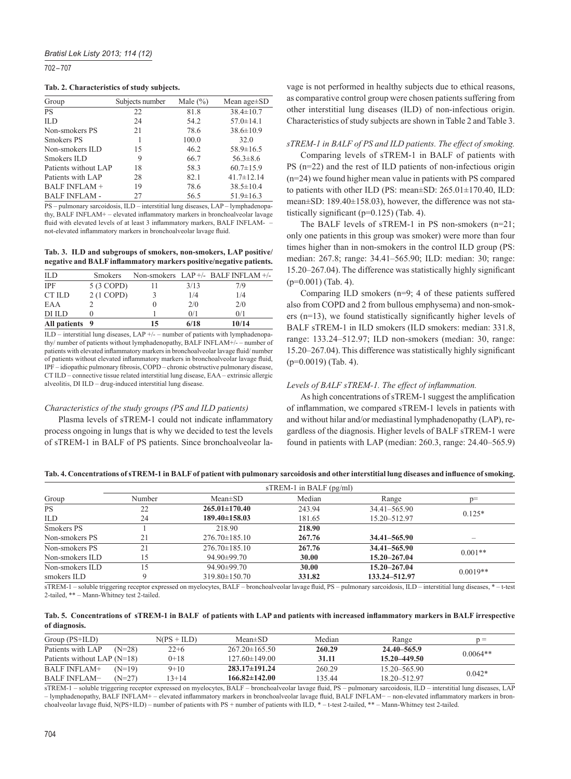702 – 707

#### **Tab. 2. Characteristics of study subjects.**

| Group                | Subjects number | Male $(\% )$ | Mean age $\pm$ SD |
|----------------------|-----------------|--------------|-------------------|
| <b>PS</b>            | 22              | 81.8         | $38.4 \pm 10.7$   |
| ILD                  | 24              | 54.2         | $57.0 \pm 14.1$   |
| Non-smokers PS       | 21              | 78.6         | $38.6 \pm 10.9$   |
| Smokers PS           |                 | 100.0        | 32.0              |
| Non-smokers ILD      | 15              | 46.2         | $58.9 \pm 16.5$   |
| Smokers ILD          | 9               | 66.7         | $56.3 \pm 8.6$    |
| Patients without LAP | 18              | 58.3         | $60.7 \pm 15.9$   |
| Patients with LAP    | 28              | 82.1         | $41.7 \pm 12.14$  |
| <b>BALF INFLAM +</b> | 19              | 78.6         | $38.5 \pm 10.4$   |
| <b>BALF INFLAM -</b> | 27              | 56.5         | $51.9 \pm 16.3$   |

PS – pulmonary sarcoidosis, ILD – interstitial lung diseases, LAP – lymphadenopathy, BALF INFLAM+ – elevated inflammatory markers in bronchoalveolar lavage fluid with elevated levels of at least 3 inflammatory markers, BALF INFLAMnot-elevated inflammatory markers in bronchoalveolar lavage fluid.

**Tab. 3. ILD and subgroups of smokers, non-smokers, LAP positive/ negative and BALF inflammatory markers positive/negative patients.** 

|                |    | 0/1  | 0/1                               |
|----------------|----|------|-----------------------------------|
|                |    |      |                                   |
|                | O  | 2/0  | 2/0                               |
| 2 (1 COPD)     |    | 1/4  | 1/4                               |
| 5 (3 COPD)     | 11 | 3/13 | 7/9                               |
| <b>Smokers</b> |    |      |                                   |
|                |    |      | Non-smokers LAP+/- BALF INFLAM+/- |

ILD – interstitial lung diseases, LAP +/- – number of patients with lymphadenopathy/ number of patients without lymphadenopathy, BALF INFLAM+/- – number of patients with elevated inflammatory markers in bronchoalveolar lavage fluid/number of patients without elevated inflammatory markers in bronchoalveolar lavage fluid. IPF – idiopathic pulmonary fibrosis, COPD – chronic obstructive pulmonary disease. CT ILD – connective tissue related interstitial lung disease, EAA – extrinsic allergic alveolitis, DI ILD – drug-induced interstitial lung disease.

#### *Characteristics of the study groups (PS and ILD patients)*

Plasma levels of sTREM-1 could not indicate inflammatory process ongoing in lungs that is why we decided to test the levels of sTREM-1 in BALF of PS patients. Since bronchoalveolar lavage is not performed in healthy subjects due to ethical reasons, as comparative control group were chosen patients suffering from other interstitial lung diseases (ILD) of non-infectious origin. Characteristics of study subjects are shown in Table 2 and Table 3.

#### *sTREM-1 in BALF of PS and ILD patients. The effect of smoking.*

Comparing levels of sTREM-1 in BALF of patients with PS (n=22) and the rest of ILD patients of non-infectious origin (n=24) we found higher mean value in patients with PS compared to patients with other ILD (PS: mean±SD: 265.01±170.40, ILD: mean±SD: 189.40±158.03), however, the difference was not statistically significant ( $p=0.125$ ) (Tab. 4).

The BALF levels of sTREM-1 in PS non-smokers (n=21; only one patients in this group was smoker) were more than four times higher than in non-smokers in the control ILD group (PS: median: 267.8; range: 34.41–565.90; ILD: median: 30; range: 15.20–267.04). The difference was statistically highly significant (p=0.001) (Tab. 4).

Comparing ILD smokers (n=9; 4 of these patients suffered also from COPD and 2 from bullous emphysema) and non-smokers  $(n=13)$ , we found statistically significantly higher levels of BALF sTREM-1 in ILD smokers (ILD smokers: median: 331.8, range: 133.24–512.97; ILD non-smokers (median: 30, range:  $15.20-267.04$ ). This difference was statistically highly significant (p=0.0019) (Tab. 4).

#### Levels of BALF sTREM-1. The effect of inflammation.

As high concentrations of sTREM-1 suggest the amplification of inflammation, we compared sTREM-1 levels in patients with and without hilar and/or mediastinal lymphadenopathy (LAP), regardless of the diagnosis. Higher levels of BALF sTREM-1 were found in patients with LAP (median: 260.3, range: 24.40–565.9)

# Tab. 4. Concentrations of sTREM-1 in BALF of patient with pulmonary sarcoidosis and other interstitial lung diseases and influence of smoking.

|                 |        |                     | $s$ TREM-1 in BALF $(pg/ml)$ |                 |            |
|-----------------|--------|---------------------|------------------------------|-----------------|------------|
| Group           | Number | $Mean \pm SD$       | Median                       | Range           | $p=$       |
| <b>PS</b>       | 22     | $265.01 \pm 170.40$ | 243.94                       | 34.41–565.90    | $0.125*$   |
| <b>ILD</b>      | 24     | $189.40 \pm 158.03$ | 15.20 - 512.97<br>181.65     |                 |            |
| Smokers PS      |        | 218.90              | 218.90                       |                 |            |
| Non-smokers PS  | 21     | $276.70 \pm 185.10$ | 267.76                       | 34.41–565.90    |            |
| Non-smokers PS  | 21     | $276.70\pm185.10$   | 267.76                       | 34.41–565.90    | $0.001**$  |
| Non-smokers ILD | l5     | $94.90 \pm 99.70$   | 30.00<br>15.20–267.04        |                 |            |
| Non-smokers ILD | l5     | $94.90 \pm 99.70$   | 30.00                        | 15.20–267.04    | $0.0019**$ |
| smokers ILD     | Q      | $319.80 \pm 150.70$ | 331.82                       | 133.24 - 512.97 |            |

sTREM-1 – soluble triggering receptor expressed on myelocytes, BALF – bronchoalveolar lavage fluid, PS – pulmonary sarcoidosis, ILD – interstitial lung diseases, \* – t-test 2-tailed, \*\* – Mann-Whitney test 2-tailed.

| Tab. 5. Concentrations of sTREM-1 in BALF of patients with LAP and patients with increased inflammatory markers in BALF irrespective |  |  |  |
|--------------------------------------------------------------------------------------------------------------------------------------|--|--|--|
| of diagnosis.                                                                                                                        |  |  |  |

| $Group(PS+ILD)$               |          | $N(PS + ILD)$ | $Mean \pm SD$       | Median | Range            | n =        |
|-------------------------------|----------|---------------|---------------------|--------|------------------|------------|
| Patients with LAP             | $(N=28)$ | $22+6$        | $267.20 \pm 165.50$ | 260.29 | 24.40–565.9      | $0.0064**$ |
| Patients without LAP $(N=18)$ |          | $0+18$        | $127.60 \pm 149.00$ | 31.11  | $15.20 - 449.50$ |            |
| <b>BALF INFLAM+</b>           | $(N=19)$ | $9+10$        | $283.17 \pm 191.24$ | 260.29 | $15.20 - 565.90$ | $0.042*$   |
| <b>BALF INFLAM-</b>           | $(N=27)$ | $3 + 14$      | $166.82\pm142.00$   | 135.44 | 18.20 - 512.97   |            |

sTREM-1 – soluble triggering receptor expressed on myelocytes, BALF – bronchoalveolar lavage fluid, PS – pulmonary sarcoidosis, ILD – interstitial lung diseases, LAP – lymphadenopathy, BALF INFLAM+ – elevated inflammatory markers in bronchoalveolar lavage fluid, BALF INFLAM- – non-elevated inflammatory markers in bronchoalveolar lavage fluid, N(PS+ILD) – number of patients with PS + number of patients with ILD, \* - t-test 2-tailed, \*\* - Mann-Whitney test 2-tailed.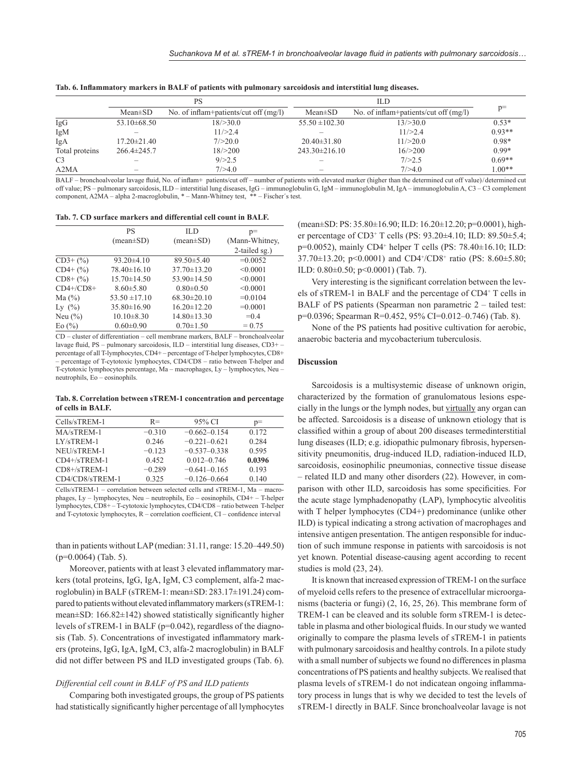|  |  | Tab. 6. Inflammatory markers in BALF of patients with pulmonary sarcoidosis and interstitial lung diseases. |  |  |  |  |  |
|--|--|-------------------------------------------------------------------------------------------------------------|--|--|--|--|--|
|--|--|-------------------------------------------------------------------------------------------------------------|--|--|--|--|--|

|                |                          | PS                                    |                     | ILD                                     |          |  |
|----------------|--------------------------|---------------------------------------|---------------------|-----------------------------------------|----------|--|
|                | $Mean \pm SD$            | No. of inflam+patients/cut off (mg/l) | $Mean \pm SD$       | No. of inflam+patients/cut off $(mg/l)$ | $p=$     |  |
| IgG            | $53.10\pm 68.50$         | 18/>30.0                              | $55.50 \pm 102.30$  | 13/ > 30.0                              | $0.53*$  |  |
| IgM            |                          | 11/>2.4                               |                     | 11/>2.4                                 | $0.93**$ |  |
| IgA            | $17.20 \pm 21.40$        | 7/>20.0                               | $20.40 \pm 31.80$   | 11/>20.0                                | $0.98*$  |  |
| Total proteins | $266.4\pm 245.7$         | 18/>200                               | $243.30 \pm 216.10$ | 16/>200                                 | $0.99*$  |  |
| C <sub>3</sub> |                          | 9/ > 2.5                              |                     | 7/>2.5                                  | $0.69**$ |  |
| A2MA           | $\overline{\phantom{a}}$ | 7/>4.0                                |                     | 7/>4.0                                  | $1.00**$ |  |

BALF – bronchoalveolar lavage fluid, No. of inflam+ patients/cut off – number of patients with elevated marker (higher than the determined cut off value)/determined cut off value; PS – pulmonary sarcoidosis, ILD – interstitial lung diseases, IgG – immunoglobulin G, IgM – immunoglobulin M, IgA – immunoglobulin A, C3 – C3 complement component, A2MA – alpha 2-macroglobulin, \* – Mann-Whitney test, \*\* – Fischer´s test.

**Tab. 7. CD surface markers and differential cell count in BALF.**

|                                  | PS                | ILD.              | $p=$           |
|----------------------------------|-------------------|-------------------|----------------|
|                                  | $(mean \pm SD)$   | $(mean \pm SD)$   | (Mann-Whitney, |
|                                  |                   |                   | 2-tailed sg.)  |
| $CD3+(%)$                        | $93.20\pm4.10$    | $89.50 \pm 5.40$  | $=0.0052$      |
| $CD4+$ $(\% )$                   | $78.40 \pm 16.10$ | $37.70 \pm 13.20$ | < 0.0001       |
| $CD8+(%)$                        | $15.70 \pm 14.50$ | $53.90 \pm 14.50$ | < 0.0001       |
| $CD4+/CD8+$                      | $8.60 \pm 5.80$   | $0.80 \pm 0.50$   | < 0.0001       |
| Ma $(%)$                         | $53.50 \pm 17.10$ | $68.30 \pm 20.10$ | $=0.0104$      |
| Ly $(\%)$                        | $35.80 \pm 16.90$ | $16.20 \pm 12.20$ | $=0.0001$      |
| Neu $(\% )$                      | $10.10 \pm 8.30$  | $14.80 \pm 13.30$ | $= 0.4$        |
| $E_0$ $\left(\frac{9}{6}\right)$ | $0.60 \pm 0.90$   | $0.70 \pm 1.50$   | $= 0.75$       |

CD – cluster of differentiation – cell membrane markers, BALF – bronchoalveolar lavage fluid,  $PS$  – pulmonary sarcoidosis,  $ILD$  – interstitial lung diseases,  $CD3+$ percentage of all T-lymphocytes, CD4+ – percentage of T-helper lymphocytes, CD8+ – percentage of T-cytotoxic lymphocytes, CD4/CD8 – ratio between T-helper and T-cytotoxic lymphocytes percentage, Ma – macrophages, Ly – lymphocytes, Neu – neutrophils, Eo – eosinophils.

**Tab. 8. Correlation between sTREM-1 concentration and percentage of cells in BALF.**

| Cells/sTREM-1   | $R =$    | 95% CI           | $p=$   |
|-----------------|----------|------------------|--------|
| MA/sTREM-1      | $-0.310$ | $-0.662 - 0.154$ | 0.172  |
| $LY/sTREM-1$    | 0.246    | $-0.221 - 0.621$ | 0.284  |
| NEU/sTREM-1     | $-0.123$ | $-0.537-0.338$   | 0.595  |
| $CD4+/sTREM-1$  | 0.452    | $0.012 - 0.746$  | 0.0396 |
| $CD8+/sTREM-1$  | $-0.289$ | $-0.641 - 0.165$ | 0.193  |
| CD4/CD8/sTREM-1 | 0.325    | $-0.126 - 0.664$ | 0.140  |

Cells/sTREM-1 – correlation between selected cells and sTREM-1, Ma – macrophages, Ly – lymphocytes, Neu – neutrophils, Eo – eosinophils, CD4+ – T-helper lymphocytes, CD8+ – T-cytotoxic lymphocytes, CD4/CD8 – ratio between T-helper and T-cytotoxic lymphocytes, R – correlation coefficient, CI – confidence interval

than in patients without LAP (median: 31.11, range: 15.20–449.50) (p=0.0064) (Tab. 5).

Moreover, patients with at least 3 elevated inflammatory markers (total proteins, IgG, IgA, IgM, C3 complement, alfa-2 macroglobulin) in BALF (sTREM-1: mean±SD: 283.17±191.24) compared to patients without elevated inflammatory markers (sTREM-1: mean $\pm$ SD: 166.82 $\pm$ 142) showed statistically significantly higher levels of sTREM-1 in BALF (p=0.042), regardless of the diagnosis (Tab. 5). Concentrations of investigated inflammatory markers (proteins, IgG, IgA, IgM, C3, alfa-2 macroglobulin) in BALF did not differ between PS and ILD investigated groups (Tab. 6).

## *Differential cell count in BALF of PS and ILD patients*

Comparing both investigated groups, the group of PS patients had statistically significantly higher percentage of all lymphocytes (mean±SD: PS: 35.80±16.90; ILD: 16.20±12.20; p=0.0001), higher percentage of CD3+ T cells (PS: 93.20±4.10; ILD: 89.50±5.4; p=0.0052), mainly CD4+ helper T cells (PS: 78.40±16.10; ILD: 37.70±13.20; p<0.0001) and CD4+ /CD8+ ratio (PS: 8.60±5.80; ILD: 0.80±0.50; p<0.0001) (Tab. 7).

Very interesting is the significant correlation between the levels of sTREM-1 in BALF and the percentage of CD4+ T cells in BALF of PS patients (Spearman non parametric 2 – tailed test: p=0.0396; Spearman R=0.452, 95% CI=0.012–0.746) (Tab. 8).

None of the PS patients had positive cultivation for aerobic, anaerobic bacteria and mycobacterium tuberculosis.

#### **Discussion**

Sarcoidosis is a multisystemic disease of unknown origin, characterized by the formation of granulomatous lesions especially in the lungs or the lymph nodes, but virtually any organ can be affected. Sarcoidosis is a disease of unknown etiology that is classified within a group of about 200 diseases termedinterstitial lung diseases (ILD; e.g. idiopathic pulmonary fibrosis, hypersensitivity pneumonitis, drug-induced ILD, radiation-induced ILD, sarcoidosis, eosinophilic pneumonias, connective tissue disease – related ILD and many other disorders (22). However, in comparison with other ILD, sarcoidosis has some specificities. For the acute stage lymphadenopathy (LAP), lymphocytic alveolitis with T helper lymphocytes (CD4+) predominance (unlike other ILD) is typical indicating a strong activation of macrophages and intensive antigen presentation. The antigen responsible for induction of such immune response in patients with sarcoidosis is not yet known. Potential disease-causing agent according to recent studies is mold (23, 24).

It is known that increased expression of TREM-1 on the surface of myeloid cells refers to the presence of extracellular microorganisms (bacteria or fungi) (2, 16, 25, 26). This membrane form of TREM-1 can be cleaved and its soluble form sTREM-1 is detectable in plasma and other biological fluids. In our study we wanted originally to compare the plasma levels of sTREM-1 in patients with pulmonary sarcoidosis and healthy controls. In a pilote study with a small number of subjects we found no differences in plasma concentrations of PS patients and healthy subjects. We realised that plasma levels of sTREM-1 do not indicatean ongoing inflammatory process in lungs that is why we decided to test the levels of sTREM-1 directly in BALF. Since bronchoalveolar lavage is not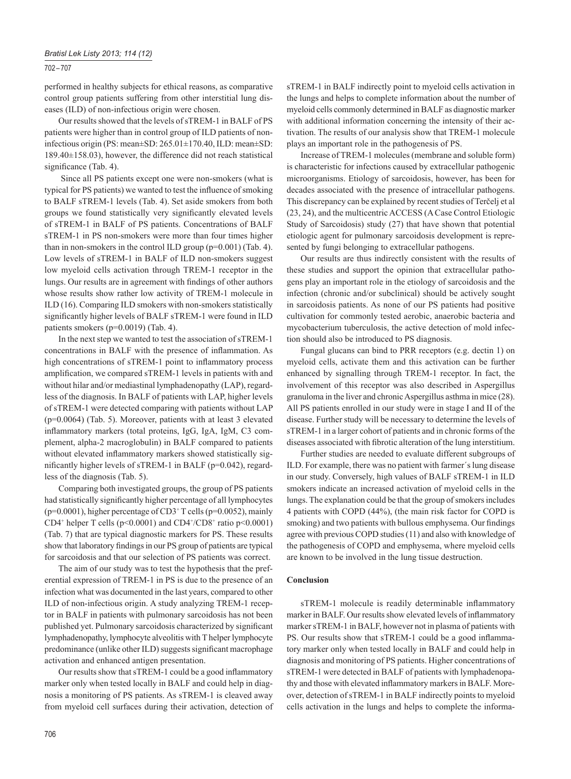# 702 – 707

performed in healthy subjects for ethical reasons, as comparative control group patients suffering from other interstitial lung diseases (ILD) of non-infectious origin were chosen.

Our results showed that the levels of sTREM-1 in BALF of PS patients were higher than in control group of ILD patients of noninfectious origin (PS: mean±SD: 265.01±170.40, ILD: mean±SD: 189.40±158.03), however, the difference did not reach statistical significance (Tab. 4).

 Since all PS patients except one were non-smokers (what is typical for PS patients) we wanted to test the influence of smoking to BALF sTREM-1 levels (Tab. 4). Set aside smokers from both groups we found statistically very significantly elevated levels of sTREM-1 in BALF of PS patients. Concentrations of BALF sTREM-1 in PS non-smokers were more than four times higher than in non-smokers in the control ILD group (p=0.001) (Tab. 4). Low levels of sTREM-1 in BALF of ILD non-smokers suggest low myeloid cells activation through TREM-1 receptor in the lungs. Our results are in agreement with findings of other authors whose results show rather low activity of TREM-1 molecule in ILD (16). Comparing ILD smokers with non-smokers statistically significantly higher levels of BALF sTREM-1 were found in ILD patients smokers (p=0.0019) (Tab. 4).

In the next step we wanted to test the association of sTREM-1 concentrations in BALF with the presence of inflammation. As high concentrations of sTREM-1 point to inflammatory process amplification, we compared sTREM-1 levels in patients with and without hilar and/or mediastinal lymphadenopathy (LAP), regardless of the diagnosis. In BALF of patients with LAP, higher levels of sTREM-1 were detected comparing with patients without LAP (p=0.0064) (Tab. 5). Moreover, patients with at least 3 elevated inflammatory markers (total proteins, IgG, IgA, IgM, C3 complement, alpha-2 macroglobulin) in BALF compared to patients without elevated inflammatory markers showed statistically significantly higher levels of sTREM-1 in BALF ( $p=0.042$ ), regardless of the diagnosis (Tab. 5).

Comparing both investigated groups, the group of PS patients had statistically significantly higher percentage of all lymphocytes (p=0.0001), higher percentage of CD3+ T cells (p=0.0052), mainly CD4<sup>+</sup> helper T cells ( $p$ <0.0001) and CD4<sup>+</sup>/CD8<sup>+</sup> ratio  $p$ <0.0001) (Tab. 7) that are typical diagnostic markers for PS. These results show that laboratory findings in our PS group of patients are typical for sarcoidosis and that our selection of PS patients was correct.

The aim of our study was to test the hypothesis that the preferential expression of TREM-1 in PS is due to the presence of an infection what was documented in the last years, compared to other ILD of non-infectious origin. A study analyzing TREM-1 receptor in BALF in patients with pulmonary sarcoidosis has not been published yet. Pulmonary sarcoidosis characterized by significant lymphadenopathy, lymphocyte alveolitis with T helper lymphocyte predominance (unlike other ILD) suggests significant macrophage activation and enhanced antigen presentation.

Our results show that sTREM-1 could be a good inflammatory marker only when tested locally in BALF and could help in diagnosis a monitoring of PS patients. As sTREM-1 is cleaved away from myeloid cell surfaces during their activation, detection of sTREM-1 in BALF indirectly point to myeloid cells activation in the lungs and helps to complete information about the number of myeloid cells commonly determined in BALF as diagnostic marker with additional information concerning the intensity of their activation. The results of our analysis show that TREM-1 molecule plays an important role in the pathogenesis of PS.

Increase of TREM-1 molecules (membrane and soluble form) is characteristic for infections caused by extracellular pathogenic microorganisms. Etiology of sarcoidosis, however, has been for decades associated with the presence of intracellular pathogens. This discrepancy can be explained by recent studies of Terčelj et al (23, 24), and the multicentric ACCESS (A Case Control Etiologic Study of Sarcoidosis) study (27) that have shown that potential etiologic agent for pulmonary sarcoidosis development is represented by fungi belonging to extracellular pathogens.

Our results are thus indirectly consistent with the results of these studies and support the opinion that extracellular pathogens play an important role in the etiology of sarcoidosis and the infection (chronic and/or subclinical) should be actively sought in sarcoidosis patients. As none of our PS patients had positive cultivation for commonly tested aerobic, anaerobic bacteria and mycobacterium tuberculosis, the active detection of mold infection should also be introduced to PS diagnosis.

Fungal glucans can bind to PRR receptors (e.g. dectin 1) on myeloid cells, activate them and this activation can be further enhanced by signalling through TREM-1 receptor. In fact, the involvement of this receptor was also described in Aspergillus granuloma in the liver and chronic Aspergillus asthma in mice (28). All PS patients enrolled in our study were in stage I and II of the disease. Further study will be necessary to determine the levels of sTREM-1 in a larger cohort of patients and in chronic forms of the diseases associated with fibrotic alteration of the lung interstitium.

Further studies are needed to evaluate different subgroups of ILD. For example, there was no patient with farmer´s lung disease in our study. Conversely, high values of BALF sTREM-1 in ILD smokers indicate an increased activation of myeloid cells in the lungs. The explanation could be that the group of smokers includes 4 patients with COPD (44%), (the main risk factor for COPD is smoking) and two patients with bullous emphysema. Our findings agree with previous COPD studies (11) and also with knowledge of the pathogenesis of COPD and emphysema, where myeloid cells are known to be involved in the lung tissue destruction.

#### **Conclusion**

sTREM-1 molecule is readily determinable inflammatory marker in BALF. Our results show elevated levels of inflammatory marker sTREM-1 in BALF, however not in plasma of patients with PS. Our results show that sTREM-1 could be a good inflammatory marker only when tested locally in BALF and could help in diagnosis and monitoring of PS patients. Higher concentrations of sTREM-1 were detected in BALF of patients with lymphadenopathy and those with elevated inflammatory markers in BALF. Moreover, detection of sTREM-1 in BALF indirectly points to myeloid cells activation in the lungs and helps to complete the informa